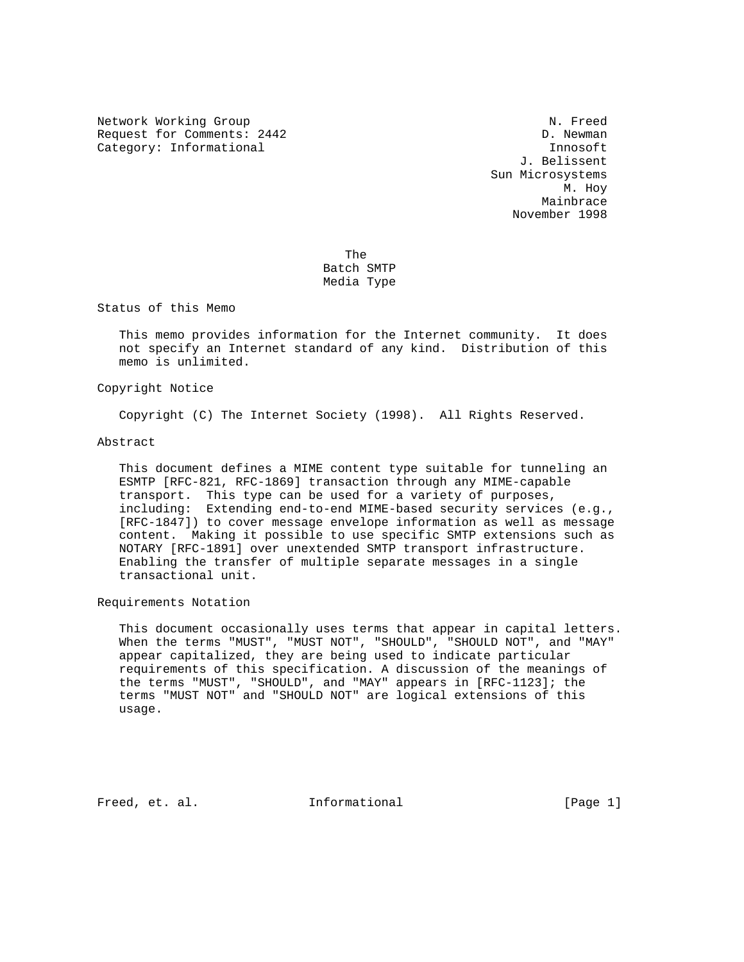Network Working Group Network Working Group Request for Comments: 2442 D. Newman Category: Informational innosoft in the United Stategory: Informational innosoft innosoft

 J. Belissent Sun Microsystems M. Hoy Mainbrace November 1998

**The State of The State of The State of The State of The State of The State of The State of The State of The St**  Batch SMTP Media Type

Status of this Memo

 This memo provides information for the Internet community. It does not specify an Internet standard of any kind. Distribution of this memo is unlimited.

Copyright Notice

Copyright (C) The Internet Society (1998). All Rights Reserved.

Abstract

 This document defines a MIME content type suitable for tunneling an ESMTP [RFC-821, RFC-1869] transaction through any MIME-capable transport. This type can be used for a variety of purposes, including: Extending end-to-end MIME-based security services (e.g., [RFC-1847]) to cover message envelope information as well as message content. Making it possible to use specific SMTP extensions such as NOTARY [RFC-1891] over unextended SMTP transport infrastructure. Enabling the transfer of multiple separate messages in a single transactional unit.

Requirements Notation

 This document occasionally uses terms that appear in capital letters. When the terms "MUST", "MUST NOT", "SHOULD", "SHOULD NOT", and "MAY" appear capitalized, they are being used to indicate particular requirements of this specification. A discussion of the meanings of the terms "MUST", "SHOULD", and "MAY" appears in [RFC-1123]; the terms "MUST NOT" and "SHOULD NOT" are logical extensions of this usage.

Freed, et. al. **Informational** [Page 1]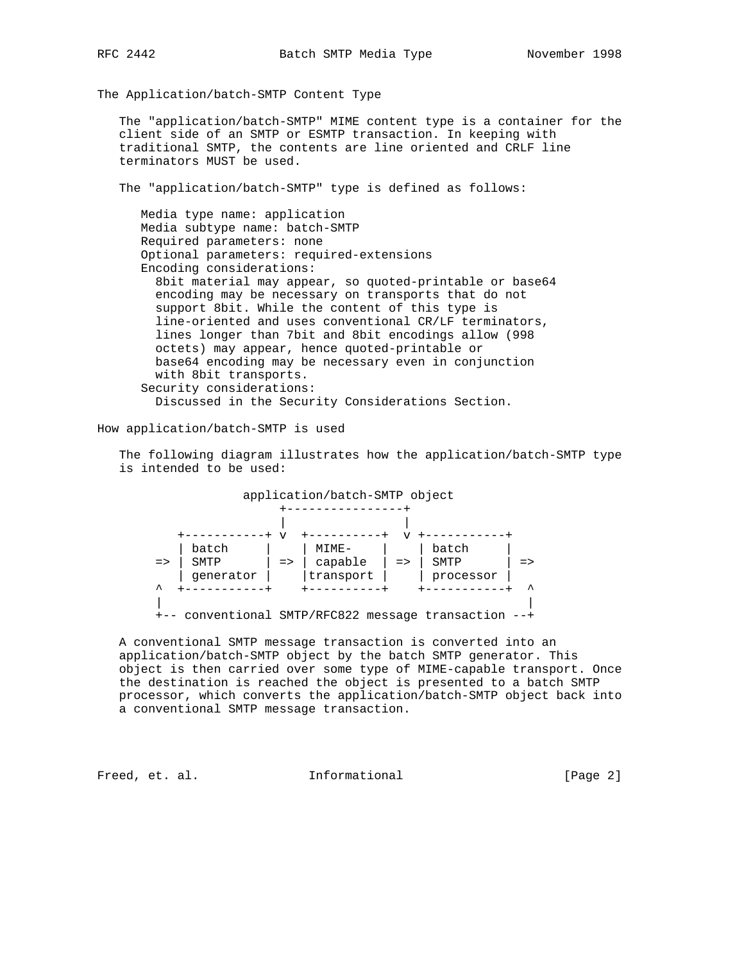The Application/batch-SMTP Content Type

 The "application/batch-SMTP" MIME content type is a container for the client side of an SMTP or ESMTP transaction. In keeping with traditional SMTP, the contents are line oriented and CRLF line terminators MUST be used.

The "application/batch-SMTP" type is defined as follows:

 Media type name: application Media subtype name: batch-SMTP Required parameters: none Optional parameters: required-extensions Encoding considerations: 8bit material may appear, so quoted-printable or base64 encoding may be necessary on transports that do not support 8bit. While the content of this type is line-oriented and uses conventional CR/LF terminators, lines longer than 7bit and 8bit encodings allow (998 octets) may appear, hence quoted-printable or base64 encoding may be necessary even in conjunction with 8bit transports. Security considerations: Discussed in the Security Considerations Section.

How application/batch-SMTP is used

 The following diagram illustrates how the application/batch-SMTP type is intended to be used:



 A conventional SMTP message transaction is converted into an application/batch-SMTP object by the batch SMTP generator. This object is then carried over some type of MIME-capable transport. Once the destination is reached the object is presented to a batch SMTP processor, which converts the application/batch-SMTP object back into a conventional SMTP message transaction.

Freed, et. al. 10. Informational 1999 [Page 2]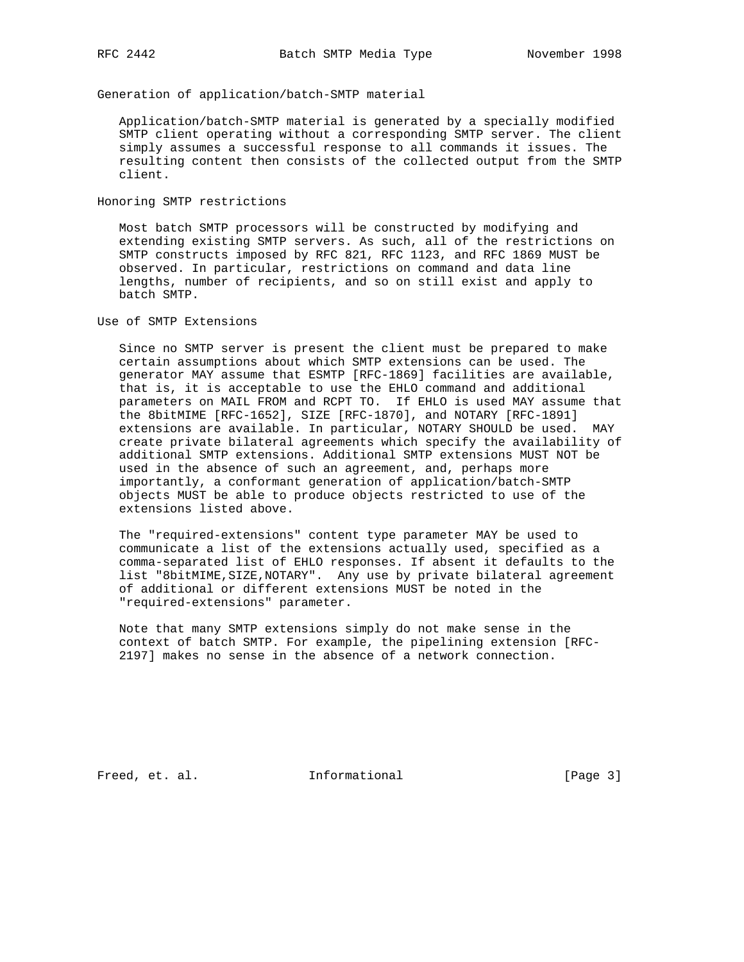Generation of application/batch-SMTP material

 Application/batch-SMTP material is generated by a specially modified SMTP client operating without a corresponding SMTP server. The client simply assumes a successful response to all commands it issues. The resulting content then consists of the collected output from the SMTP client.

Honoring SMTP restrictions

 Most batch SMTP processors will be constructed by modifying and extending existing SMTP servers. As such, all of the restrictions on SMTP constructs imposed by RFC 821, RFC 1123, and RFC 1869 MUST be observed. In particular, restrictions on command and data line lengths, number of recipients, and so on still exist and apply to batch SMTP.

Use of SMTP Extensions

 Since no SMTP server is present the client must be prepared to make certain assumptions about which SMTP extensions can be used. The generator MAY assume that ESMTP [RFC-1869] facilities are available, that is, it is acceptable to use the EHLO command and additional parameters on MAIL FROM and RCPT TO. If EHLO is used MAY assume that the 8bitMIME [RFC-1652], SIZE [RFC-1870], and NOTARY [RFC-1891] extensions are available. In particular, NOTARY SHOULD be used. MAY create private bilateral agreements which specify the availability of additional SMTP extensions. Additional SMTP extensions MUST NOT be used in the absence of such an agreement, and, perhaps more importantly, a conformant generation of application/batch-SMTP objects MUST be able to produce objects restricted to use of the extensions listed above.

 The "required-extensions" content type parameter MAY be used to communicate a list of the extensions actually used, specified as a comma-separated list of EHLO responses. If absent it defaults to the list "8bitMIME,SIZE,NOTARY". Any use by private bilateral agreement of additional or different extensions MUST be noted in the "required-extensions" parameter.

 Note that many SMTP extensions simply do not make sense in the context of batch SMTP. For example, the pipelining extension [RFC- 2197] makes no sense in the absence of a network connection.

Freed, et. al. 1nformational 1999 [Page 3]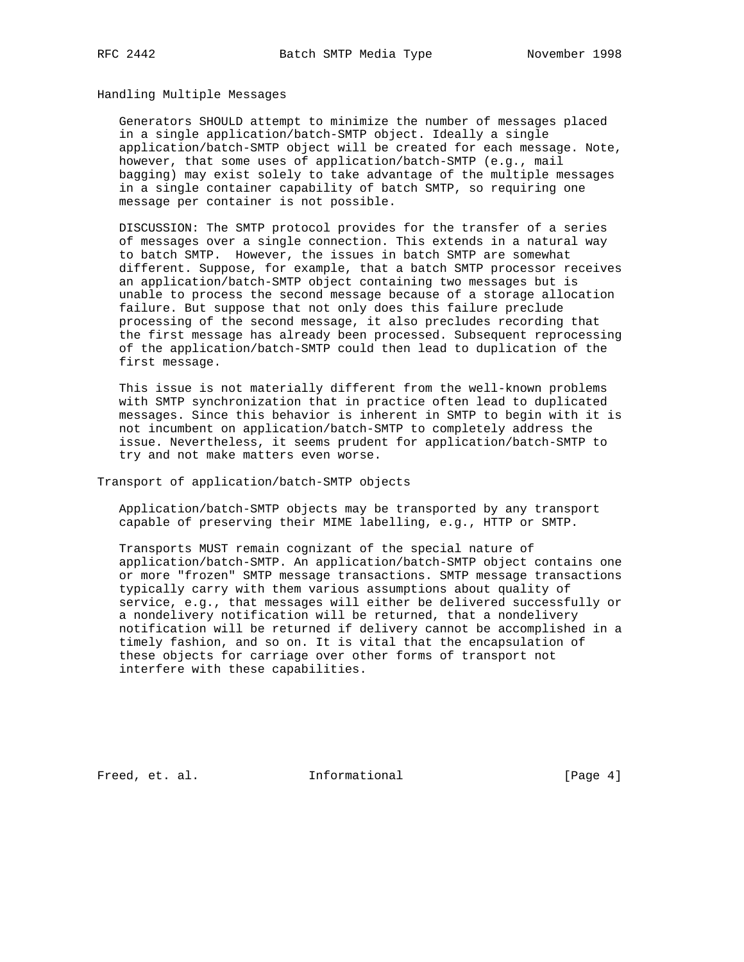## Handling Multiple Messages

 Generators SHOULD attempt to minimize the number of messages placed in a single application/batch-SMTP object. Ideally a single application/batch-SMTP object will be created for each message. Note, however, that some uses of application/batch-SMTP (e.g., mail bagging) may exist solely to take advantage of the multiple messages in a single container capability of batch SMTP, so requiring one message per container is not possible.

 DISCUSSION: The SMTP protocol provides for the transfer of a series of messages over a single connection. This extends in a natural way to batch SMTP. However, the issues in batch SMTP are somewhat different. Suppose, for example, that a batch SMTP processor receives an application/batch-SMTP object containing two messages but is unable to process the second message because of a storage allocation failure. But suppose that not only does this failure preclude processing of the second message, it also precludes recording that the first message has already been processed. Subsequent reprocessing of the application/batch-SMTP could then lead to duplication of the first message.

 This issue is not materially different from the well-known problems with SMTP synchronization that in practice often lead to duplicated messages. Since this behavior is inherent in SMTP to begin with it is not incumbent on application/batch-SMTP to completely address the issue. Nevertheless, it seems prudent for application/batch-SMTP to try and not make matters even worse.

Transport of application/batch-SMTP objects

 Application/batch-SMTP objects may be transported by any transport capable of preserving their MIME labelling, e.g., HTTP or SMTP.

 Transports MUST remain cognizant of the special nature of application/batch-SMTP. An application/batch-SMTP object contains one or more "frozen" SMTP message transactions. SMTP message transactions typically carry with them various assumptions about quality of service, e.g., that messages will either be delivered successfully or a nondelivery notification will be returned, that a nondelivery notification will be returned if delivery cannot be accomplished in a timely fashion, and so on. It is vital that the encapsulation of these objects for carriage over other forms of transport not interfere with these capabilities.

Freed, et. al. 1nformational 1999 [Page 4]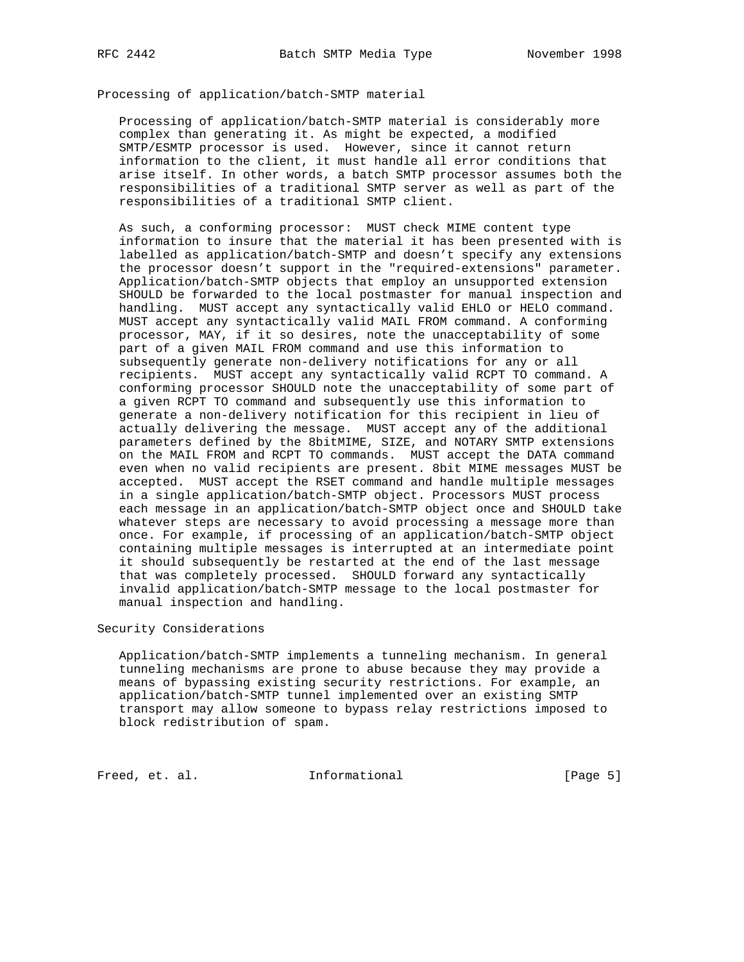Processing of application/batch-SMTP material

 Processing of application/batch-SMTP material is considerably more complex than generating it. As might be expected, a modified SMTP/ESMTP processor is used. However, since it cannot return information to the client, it must handle all error conditions that arise itself. In other words, a batch SMTP processor assumes both the responsibilities of a traditional SMTP server as well as part of the responsibilities of a traditional SMTP client.

 As such, a conforming processor: MUST check MIME content type information to insure that the material it has been presented with is labelled as application/batch-SMTP and doesn't specify any extensions the processor doesn't support in the "required-extensions" parameter. Application/batch-SMTP objects that employ an unsupported extension SHOULD be forwarded to the local postmaster for manual inspection and handling. MUST accept any syntactically valid EHLO or HELO command. MUST accept any syntactically valid MAIL FROM command. A conforming processor, MAY, if it so desires, note the unacceptability of some part of a given MAIL FROM command and use this information to subsequently generate non-delivery notifications for any or all recipients. MUST accept any syntactically valid RCPT TO command. A conforming processor SHOULD note the unacceptability of some part of a given RCPT TO command and subsequently use this information to generate a non-delivery notification for this recipient in lieu of actually delivering the message. MUST accept any of the additional parameters defined by the 8bitMIME, SIZE, and NOTARY SMTP extensions on the MAIL FROM and RCPT TO commands. MUST accept the DATA command even when no valid recipients are present. 8bit MIME messages MUST be accepted. MUST accept the RSET command and handle multiple messages in a single application/batch-SMTP object. Processors MUST process each message in an application/batch-SMTP object once and SHOULD take whatever steps are necessary to avoid processing a message more than once. For example, if processing of an application/batch-SMTP object containing multiple messages is interrupted at an intermediate point it should subsequently be restarted at the end of the last message that was completely processed. SHOULD forward any syntactically invalid application/batch-SMTP message to the local postmaster for manual inspection and handling.

## Security Considerations

 Application/batch-SMTP implements a tunneling mechanism. In general tunneling mechanisms are prone to abuse because they may provide a means of bypassing existing security restrictions. For example, an application/batch-SMTP tunnel implemented over an existing SMTP transport may allow someone to bypass relay restrictions imposed to block redistribution of spam.

Freed, et. al. 1nformational 1999 [Page 5]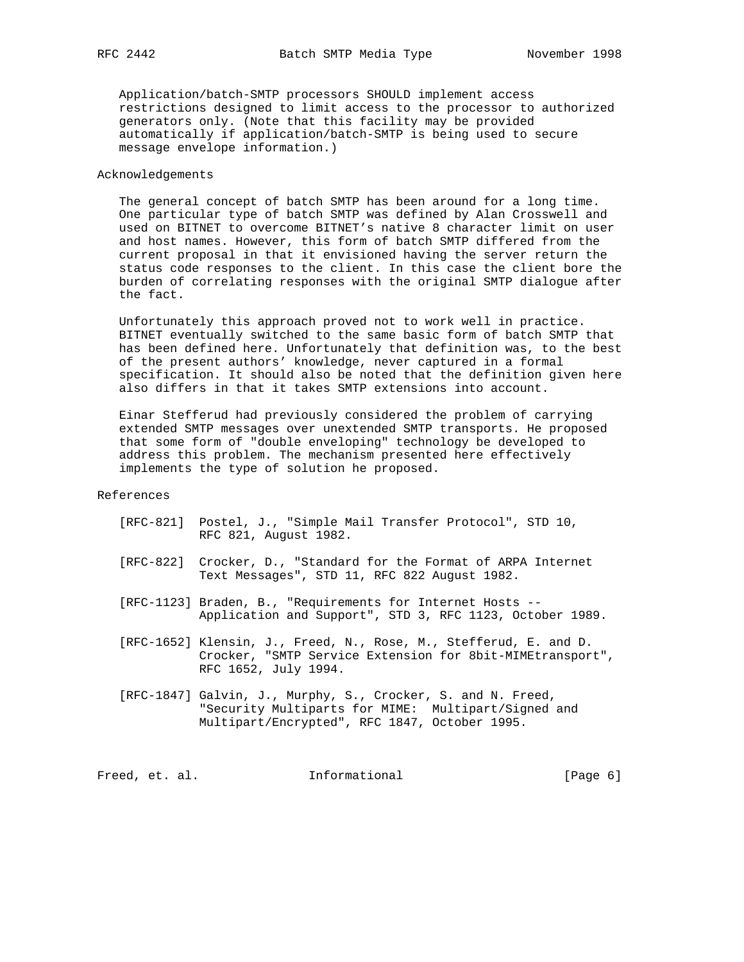Application/batch-SMTP processors SHOULD implement access restrictions designed to limit access to the processor to authorized generators only. (Note that this facility may be provided automatically if application/batch-SMTP is being used to secure message envelope information.)

## Acknowledgements

 The general concept of batch SMTP has been around for a long time. One particular type of batch SMTP was defined by Alan Crosswell and used on BITNET to overcome BITNET's native 8 character limit on user and host names. However, this form of batch SMTP differed from the current proposal in that it envisioned having the server return the status code responses to the client. In this case the client bore the burden of correlating responses with the original SMTP dialogue after the fact.

 Unfortunately this approach proved not to work well in practice. BITNET eventually switched to the same basic form of batch SMTP that has been defined here. Unfortunately that definition was, to the best of the present authors' knowledge, never captured in a formal specification. It should also be noted that the definition given here also differs in that it takes SMTP extensions into account.

 Einar Stefferud had previously considered the problem of carrying extended SMTP messages over unextended SMTP transports. He proposed that some form of "double enveloping" technology be developed to address this problem. The mechanism presented here effectively implements the type of solution he proposed.

References

- [RFC-821] Postel, J., "Simple Mail Transfer Protocol", STD 10, RFC 821, August 1982.
- [RFC-822] Crocker, D., "Standard for the Format of ARPA Internet Text Messages", STD 11, RFC 822 August 1982.
- [RFC-1123] Braden, B., "Requirements for Internet Hosts -- Application and Support", STD 3, RFC 1123, October 1989.
- [RFC-1652] Klensin, J., Freed, N., Rose, M., Stefferud, E. and D. Crocker, "SMTP Service Extension for 8bit-MIMEtransport", RFC 1652, July 1994.
- [RFC-1847] Galvin, J., Murphy, S., Crocker, S. and N. Freed, "Security Multiparts for MIME: Multipart/Signed and Multipart/Encrypted", RFC 1847, October 1995.

Freed, et. al. 1nformational 1999 [Page 6]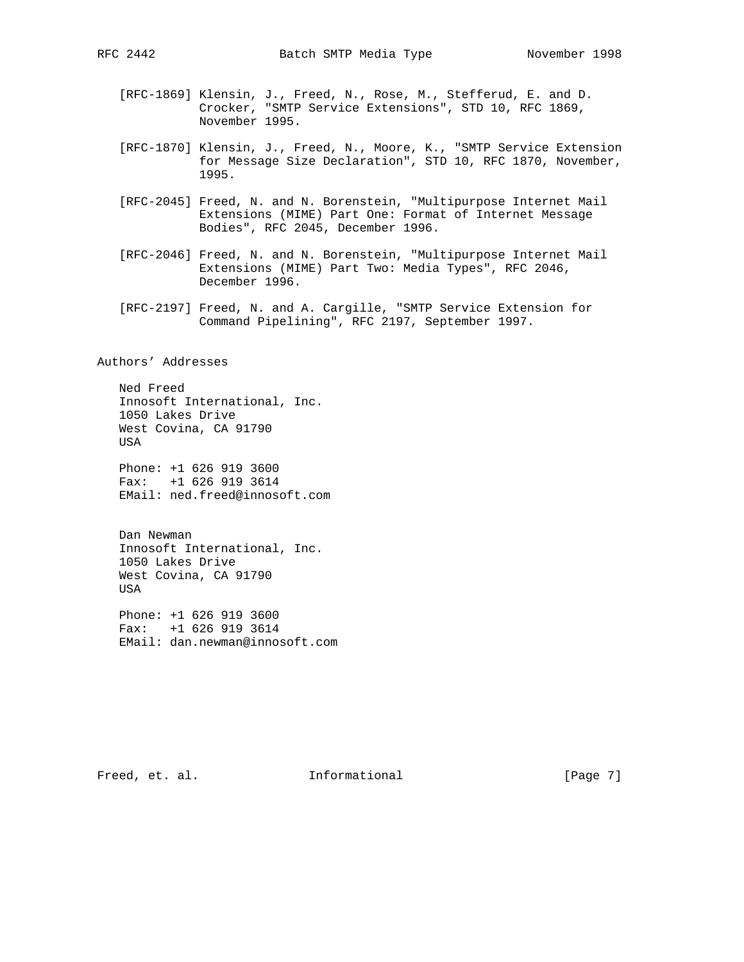- [RFC-1869] Klensin, J., Freed, N., Rose, M., Stefferud, E. and D. Crocker, "SMTP Service Extensions", STD 10, RFC 1869, November 1995.
- [RFC-1870] Klensin, J., Freed, N., Moore, K., "SMTP Service Extension for Message Size Declaration", STD 10, RFC 1870, November, 1995.
- [RFC-2045] Freed, N. and N. Borenstein, "Multipurpose Internet Mail Extensions (MIME) Part One: Format of Internet Message Bodies", RFC 2045, December 1996.
- [RFC-2046] Freed, N. and N. Borenstein, "Multipurpose Internet Mail Extensions (MIME) Part Two: Media Types", RFC 2046, December 1996.
- [RFC-2197] Freed, N. and A. Cargille, "SMTP Service Extension for Command Pipelining", RFC 2197, September 1997.

Authors' Addresses

 Ned Freed Innosoft International, Inc. 1050 Lakes Drive West Covina, CA 91790 USA

 Phone: +1 626 919 3600 Fax: +1 626 919 3614 EMail: ned.freed@innosoft.com

 Dan Newman Innosoft International, Inc. 1050 Lakes Drive West Covina, CA 91790 USA

 Phone: +1 626 919 3600 Fax: +1 626 919 3614 EMail: dan.newman@innosoft.com

Freed, et. al. 1nformational 1999 [Page 7]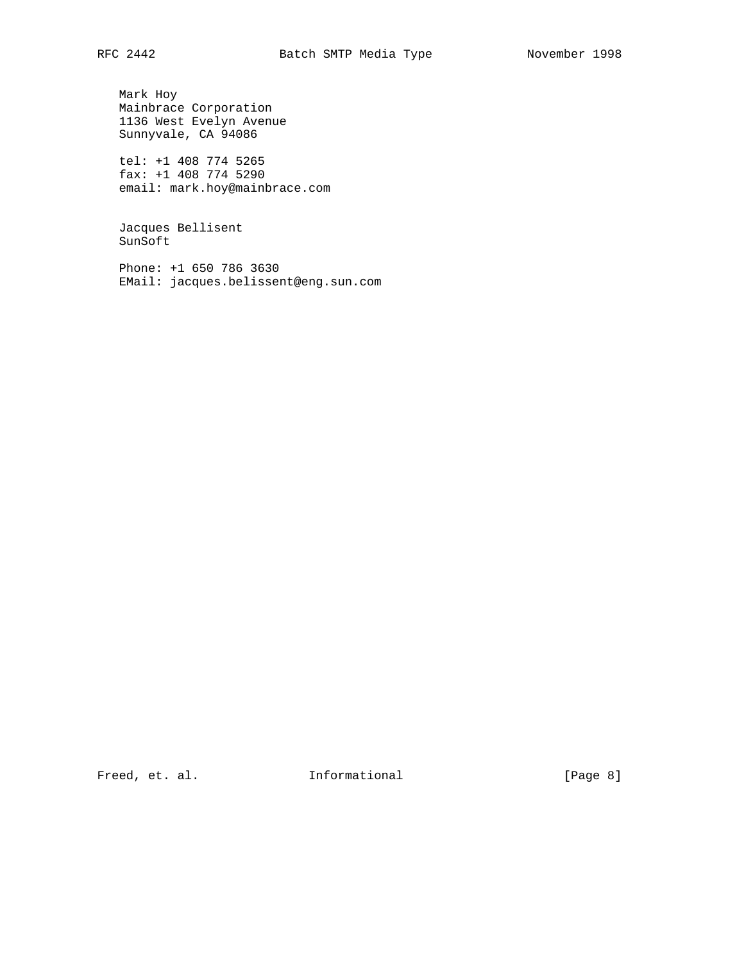Mark Hoy Mainbrace Corporation 1136 West Evelyn Avenue Sunnyvale, CA 94086

 tel: +1 408 774 5265 fax: +1 408 774 5290 email: mark.hoy@mainbrace.com

 Jacques Bellisent SunSoft

 Phone: +1 650 786 3630 EMail: jacques.belissent@eng.sun.com